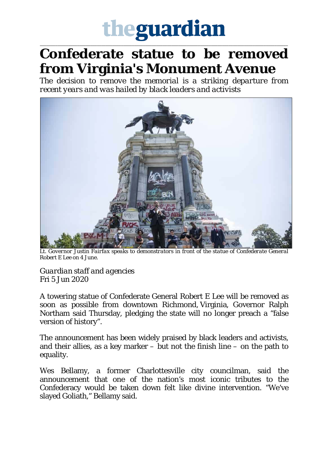## theguardian

\_\_\_\_\_\_\_\_\_\_\_\_\_\_\_\_\_\_\_\_\_\_\_\_\_\_\_\_\_\_\_\_\_\_\_\_\_\_\_\_\_\_\_\_\_\_\_\_\_\_\_\_\_\_\_\_\_\_\_\_\_\_\_\_\_\_\_\_\_\_\_\_\_\_\_\_\_\_\_\_\_\_\_\_\_\_\_\_\_\_\_\_\_\_\_\_\_\_\_\_\_\_\_\_\_\_\_\_\_\_\_\_\_

## **Confederate statue to be removed from Virginia's Monument Avenue**

*The decision to remove the memorial is a striking departure from recent years and was hailed by black leaders and activists*



*Lt. Governor Justin Fairfax speaks to demonstrators in front of the statue of Confederate General Robert E Lee on 4 June.*

*Guardian staff and agencies* Fri 5 Jun 2020

A towering statue of Confederate General Robert E Lee will be removed as soon as possible from downtown Richmond, Virginia, Governor Ralph Northam said Thursday, pledging the state will no longer preach a "false version of history".

The announcement has been widely praised by black leaders and activists, and their allies, as a key marker – but not the finish line – on the path to equality.

Wes Bellamy, a former Charlottesville city councilman, said the announcement that one of the nation's most iconic tributes to the Confederacy would be taken down felt like divine intervention. "We've slayed Goliath," Bellamy said.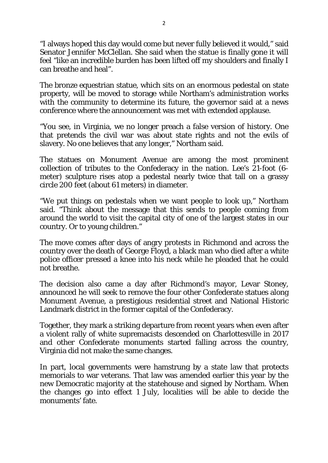"I always hoped this day would come but never fully believed it would," said Senator Jennifer McClellan. She said when the statue is finally gone it will feel "like an incredible burden has been lifted off my shoulders and finally I can breathe and heal".

The bronze equestrian statue, which sits on an enormous pedestal on state property, will be moved to storage while Northam's administration works with the community to determine its future, the governor said at a news conference where the announcement was met with extended applause.

"You see, in Virginia, we no longer preach a false version of history. One that pretends the civil war was about state rights and not the evils of slavery. No one believes that any longer," Northam said.

The statues on Monument Avenue are among the most prominent collection of tributes to the Confederacy in the nation. Lee's 21-foot (6 meter) sculpture rises atop a pedestal nearly twice that tall on a grassy circle 200 feet (about 61 meters) in diameter.

"We put things on pedestals when we want people to look up," Northam said. "Think about the message that this sends to people coming from around the world to visit the capital city of one of the largest states in our country. Or to young children."

The move comes after days of angry protests in Richmond and across the country over the death of George Floyd, a black man who died after a white police officer pressed a knee into his neck while he pleaded that he could not breathe.

The decision also came a day after Richmond's mayor, Levar Stoney, announced he will seek to remove the four other Confederate statues along Monument Avenue, a prestigious residential street and National Historic Landmark district in the former capital of the Confederacy.

Together, they mark a striking departure from recent years when even after a violent rally of white supremacists descended on Charlottesville in 2017 and other Confederate monuments started falling across the country, Virginia did not make the same changes.

In part, local governments were hamstrung by a state law that protects memorials to war veterans. That law was amended earlier this year by the new Democratic majority at the statehouse and signed by Northam. When the changes go into effect 1 July, localities will be able to decide the monuments' fate.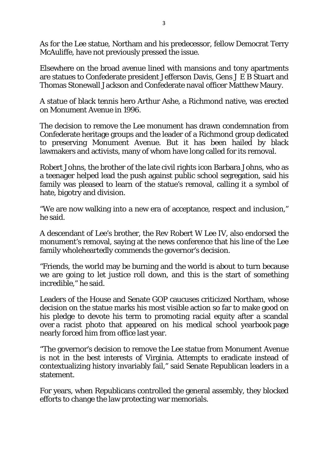As for the Lee statue, Northam and his predecessor, fellow Democrat Terry McAuliffe, have not previously pressed the issue.

Elsewhere on the broad avenue lined with mansions and tony apartments are statues to Confederate president Jefferson Davis, Gens J E B Stuart and Thomas Stonewall Jackson and Confederate naval officer Matthew Maury.

A statue of black tennis hero Arthur Ashe, a Richmond native, was erected on Monument Avenue in 1996.

The decision to remove the Lee monument has drawn condemnation from Confederate heritage groups and the leader of a Richmond group dedicated to preserving Monument Avenue. But it has been hailed by black lawmakers and activists, many of whom have long called for its removal.

Robert Johns, the brother of the late civil rights icon Barbara Johns, who as a teenager helped lead the push against public school segregation, said his family was pleased to learn of the statue's removal, calling it a symbol of hate, bigotry and division.

"We are now walking into a new era of acceptance, respect and inclusion," he said.

A descendant of Lee's brother, the Rev Robert W Lee IV, also endorsed the monument's removal, saying at the news conference that his line of the Lee family wholeheartedly commends the governor's decision.

"Friends, the world may be burning and the world is about to turn because we are going to let justice roll down, and this is the start of something incredible," he said.

Leaders of the House and Senate GOP caucuses criticized Northam, whose decision on the statue marks his most visible action so far to make good on his pledge to devote his term to promoting racial equity after a scandal over a racist photo that appeared on his medical school yearbook page nearly forced him from office last year.

"The governor's decision to remove the Lee statue from Monument Avenue is not in the best interests of Virginia. Attempts to eradicate instead of contextualizing history invariably fail," said Senate Republican leaders in a statement.

For years, when Republicans controlled the general assembly, they blocked efforts to change the law protecting war memorials.